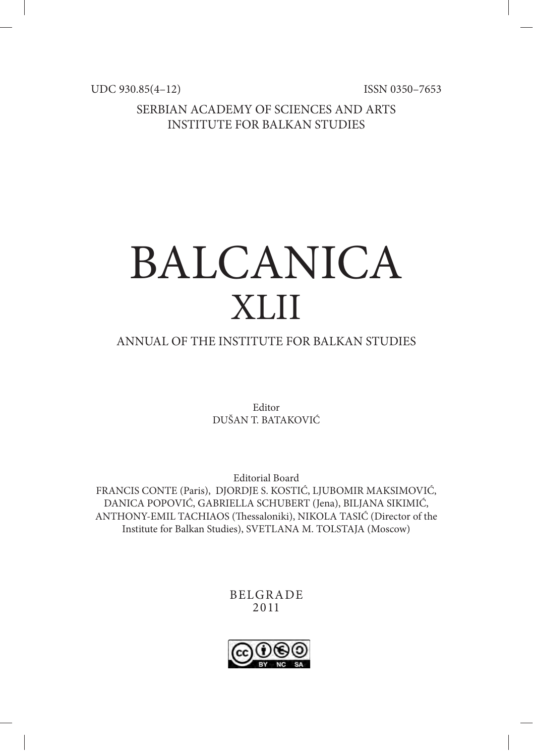UDC 930.85(4–12) ISSN 0350-7653

SERBIAN ACADEMY OF SCIENCES AND ARTS INSTITUTE FOR BALKAN STUDIES

# BALCANICA XLII

## ANNUAL OF THE INSTITUTE FOR BALKAN STUDIES

Editor DUŠAN T. BATAKOVIĆ

Editorial Board FRANCIS CONTE (Paris), DJORDJE S. KOSTIĆ, LJUBOMIR MAKSIMOVIĆ, DANICA POPOVIĆ, GABRIELLA SCHUBERT (Jena), BILJANA SIKIMIĆ, ANTHONY-EMIL TACHIAOS (Thessaloniki), NIKOLA TASIĆ (Director of the Institute for Balkan Studies), SVETLANA M. TOLSTAJA (Moscow)

> BELGRADE 2011

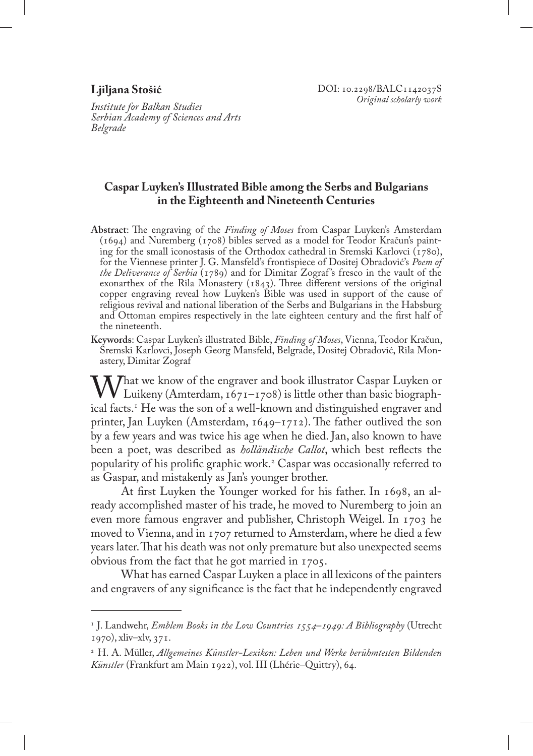#### **Ljiljana Stošić**

*Institute for Balkan Studies Serbian Academy of Sciences and Arts Belgrade*

### **Caspar Luyken's Illustrated Bible among the Serbs and Bulgarians in the Eighteenth and Nineteenth Centuries**

- **Abstract**: The engraving of the *Finding of Moses* from Caspar Luyken's Amsterdam (1694) and Nuremberg (1708) bibles served as a model for Teodor Kračun's painting for the small iconostasis of the Orthodox cathedral in Sremski Karlovci ( $1780$ ), for the Viennese printer J. G. Mansfeld's frontispiece of Dositej Obradović's *Poem of the Deliverance of Serbia* (1789) and for Dimitar Zograf 's fresco in the vault of the exonarthex of the Rila Monastery  $(1843)$ . Three different versions of the original copper engraving reveal how Luyken's Bible was used in support of the cause of religious revival and national liberation of the Serbs and Bulgarians in the Habsburg and Ottoman empires respectively in the late eighteen century and the first half of the nineteenth.
- **Keywords**: Caspar Luyken's illustrated Bible, *Finding of Moses*, Vienna, Teodor Kračun, Sremski Karlovci, Joseph Georg Mansfeld, Belgrade, Dositej Obradović, Rila Monastery, Dimitar Zograf

What we know of the engraver and book illustrator Caspar Luyken or<br>Luikeny (Amterdam, 1671–1708) is little other than basic biograph-<br>ical facts <sup>1</sup> He was the son of a well-known and distinguished engraver and ical facts.<sup>1</sup> He was the son of a well-known and distinguished engraver and printer, Jan Luyken (Amsterdam, 1649–1712). The father outlived the son by a few years and was twice his age when he died. Jan, also known to have been a poet, was described as *holländische Callot*, which best reflects the popularity of his prolific graphic work.<sup>2</sup> Caspar was occasionally referred to as Gaspar, and mistakenly as Jan's younger brother.

At first Luyken the Younger worked for his father. In 1698, an already accomplished master of his trade, he moved to Nuremberg to join an even more famous engraver and publisher, Christoph Weigel. In 1703 he moved to Vienna, and in 1707 returned to Amsterdam, where he died a few years later. That his death was not only premature but also unexpected seems obvious from the fact that he got married in 1705.

What has earned Caspar Luyken a place in all lexicons of the painters and engravers of any significance is the fact that he independently engraved

<sup>1</sup> J. Landwehr, *Emblem Books in the Low Countries 1554–1949: A Bibliography* (Utrecht 1970), xliv–xlv, 371.

<sup>2</sup> H. A. Müller, *Allgemeines Künstler-Lexikon: Leben und Werke berühmtesten Bildenden Künstler* (Frankfurt am Main 1922), vol. III (Lhérie–Quittry), 64.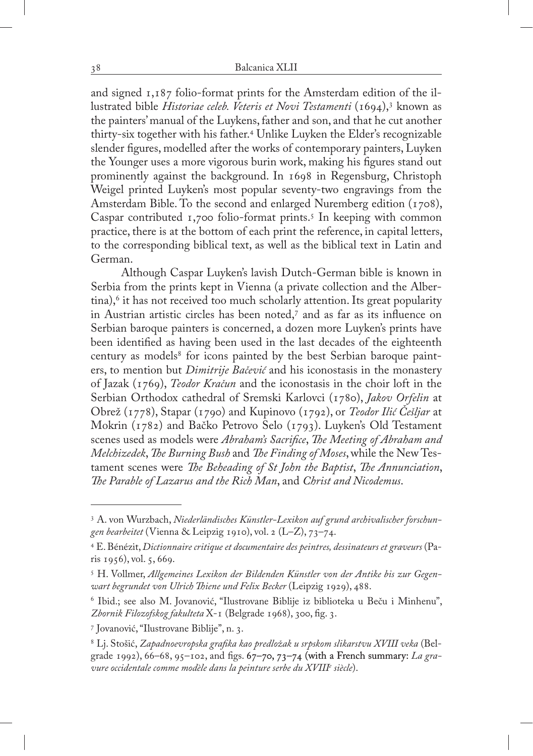and signed 1,187 folio-format prints for the Amsterdam edition of the illustrated bible *Historiae celeb. Veteris et Novi Testamenti* (1694),<sup>3</sup> known as the painters' manual of the Luykens, father and son, and that he cut another thirty-six together with his father.<sup>4</sup> Unlike Luyken the Elder's recognizable slender figures, modelled after the works of contemporary painters, Luyken the Younger uses a more vigorous burin work, making his figures stand out prominently against the background. In 1698 in Regensburg, Christoph Weigel printed Luyken's most popular seventy-two engravings from the Amsterdam Bible. To the second and enlarged Nuremberg edition (1708), Caspar contributed 1,700 folio-format prints.5 In keeping with common practice, there is at the bottom of each print the reference, in capital letters, to the corresponding biblical text, as well as the biblical text in Latin and German.

Although Caspar Luyken's lavish Dutch-German bible is known in Serbia from the prints kept in Vienna (a private collection and the Albertina),<sup>6</sup> it has not received too much scholarly attention. Its great popularity in Austrian artistic circles has been noted,7 and as far as its influence on Serbian baroque painters is concerned, a dozen more Luyken's prints have been identified as having been used in the last decades of the eighteenth century as models<sup>8</sup> for icons painted by the best Serbian baroque painters, to mention but *Dimitrije Bačević* and his iconostasis in the monastery of Jazak (1769), *Teodor Kračun* and the iconostasis in the choir loft in the Serbian Orthodox cathedral of Sremski Karlovci (1780), *Jakov Orfelin* at Obrež (1778), Stapar (1790) and Kupinovo (1792), or *Teodor Ilić Češljar* at Mokrin (1782) and Bačko Petrovo Selo (1793). Luyken's Old Testament scenes used as models were *Abraham's Sacrifice*, *The Meeting of Abraham and Melchizedek*, *The Burning Bush* and *The Finding of Moses*, while the New Testament scenes were *The Beheading of St John the Baptist*, *The Annunciation*, *The Parable of Lazarus and the Rich Man*, and *Christ and Nicodemus*.

<sup>3</sup> A. von Wurzbach, *Niederländisches Künstler-Lexikon auf grund archivalischer forschungen bearbeitet* (Vienna & Leipzig 1910), vol. 2 (L–Z), 73–74.

<sup>&</sup>lt;sup>4</sup> E. Bénézit, *Dictionnaire critique et documentaire des peintres, dessinateurs et graveurs* (Paris 1956), vol. 5, 669.

<sup>5</sup> H. Vollmer, *Allgemeines Lexikon der Bildenden Künstler von der Antike bis zur Gegenwart begrundet von Ulrich Thiene und Felix Becker* (Leipzig 1929), 488.

<sup>6</sup> Ibid.; see also M. Jovanović, "Ilustrovane Biblije iz biblioteka u Beču i Minhenu", *Zbornik Filozofskog fakulteta* X-1 (Belgrade 1968), 300, fig. 3.

<sup>7</sup> Jovanović, "Ilustrovane Biblije", n. 3.

<sup>8</sup> Lj. Stošić, *Zapadnoevropska grafika kao predložak u srpskom slikarstvu XVIII veka* (Belgrade 1992), 66–68, 95–102, and figs. 67–70, 73–74 (with a French summary: *La gravure occidentale comme modèle dans la peinture serbe du XVIIIe siècle*).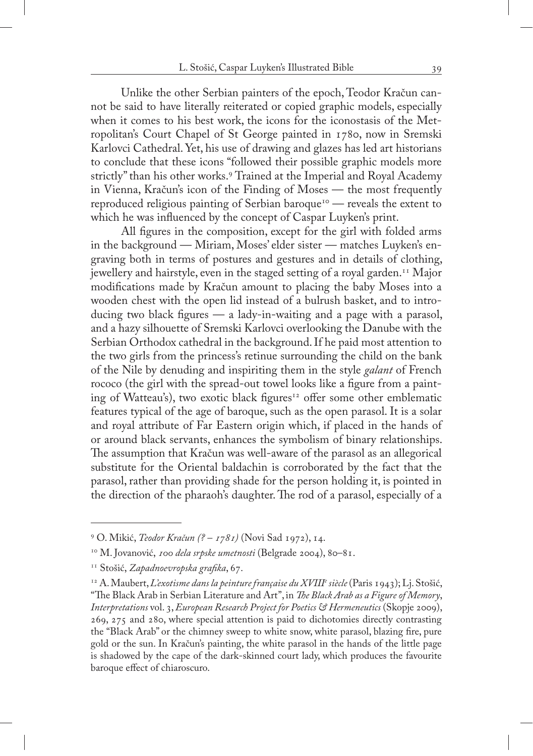Unlike the other Serbian painters of the epoch, Teodor Kračun cannot be said to have literally reiterated or copied graphic models, especially when it comes to his best work, the icons for the iconostasis of the Metropolitan's Court Chapel of St George painted in 1780, now in Sremski Karlovci Cathedral. Yet, his use of drawing and glazes has led art historians to conclude that these icons "followed their possible graphic models more strictly" than his other works.<sup>9</sup> Trained at the Imperial and Royal Academy in Vienna, Kračun's icon of the Finding of Moses — the most frequently reproduced religious painting of Serbian baroque<sup>10</sup> — reveals the extent to which he was influenced by the concept of Caspar Luyken's print.

All figures in the composition, except for the girl with folded arms in the background — Miriam, Moses' elder sister — matches Luyken's engraving both in terms of postures and gestures and in details of clothing, jewellery and hairstyle, even in the staged setting of a royal garden.<sup>11</sup> Major modifications made by Kračun amount to placing the baby Moses into a wooden chest with the open lid instead of a bulrush basket, and to introducing two black figures  $-$  a lady-in-waiting and a page with a parasol, and a hazy silhouette of Sremski Karlovci overlooking the Danube with the Serbian Orthodox cathedral in the background. If he paid most attention to the two girls from the princess's retinue surrounding the child on the bank of the Nile by denuding and inspiriting them in the style *galant* of French rococo (the girl with the spread-out towel looks like a figure from a painting of Watteau's), two exotic black figures<sup>12</sup> offer some other emblematic features typical of the age of baroque, such as the open parasol. It is a solar and royal attribute of Far Eastern origin which, if placed in the hands of or around black servants, enhances the symbolism of binary relationships. The assumption that Kračun was well-aware of the parasol as an allegorical substitute for the Oriental baldachin is corroborated by the fact that the parasol, rather than providing shade for the person holding it, is pointed in the direction of the pharaoh's daughter. The rod of a parasol, especially of a

<sup>9</sup> O. Mikić, *Teodor Kračun (? – 1781)* (Novi Sad 1972), 14.

<sup>10</sup> M. Jovanović, *100 dela srpske umetnosti* (Belgrade 2004), 80–81.

<sup>11</sup> Stošić, *Zapadnoevropska grafika*, 67.

<sup>12</sup> A. Maubert, *L'exotisme dans la peinture française du XVIIIe siècle* (Paris 1943); Lj. Stošić,

<sup>&</sup>quot;The Black Arab in Serbian Literature and Art", in *The Black Arab as a Figure of Memory*, *Interpretations* vol. 3, *European Research Project for Poetics & Hermeneutics* (Skopje 2009), 269, 275 and 280, where special attention is paid to dichotomies directly contrasting the "Black Arab" or the chimney sweep to white snow, white parasol, blazing fire, pure gold or the sun. In Kračun's painting, the white parasol in the hands of the little page is shadowed by the cape of the dark-skinned court lady, which produces the favourite baroque effect of chiaroscuro.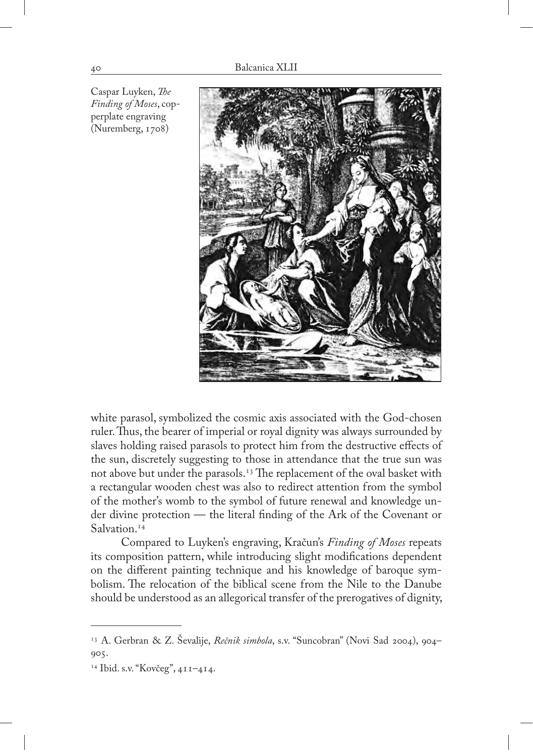

Caspar Luyken, *The Finding of Moses*, copperplate engraving (Nuremberg, 1708)

white parasol, symbolized the cosmic axis associated with the God-chosen ruler. Thus, the bearer of imperial or royal dignity was always surrounded by slaves holding raised parasols to protect him from the destructive effects of the sun, discretely suggesting to those in attendance that the true sun was not above but under the parasols.<sup>13</sup> The replacement of the oval basket with a rectangular wooden chest was also to redirect attention from the symbol of the mother's womb to the symbol of future renewal and knowledge under divine protection — the literal finding of the Ark of the Covenant or Salvation.<sup>14</sup>

Compared to Luyken's engraving, Kračun's *Finding of Moses* repeats its composition pattern, while introducing slight modifications dependent on the different painting technique and his knowledge of baroque symbolism. The relocation of the biblical scene from the Nile to the Danube should be understood as an allegorical transfer of the prerogatives of dignity,

<sup>13</sup> A. Gerbran & Z. Ševalije, *Rečnik simbola*, s.v. "Suncobran" (Novi Sad 2004), 904– 905.

<sup>14</sup> Ibid. s.v. "Kovčeg", 411–414.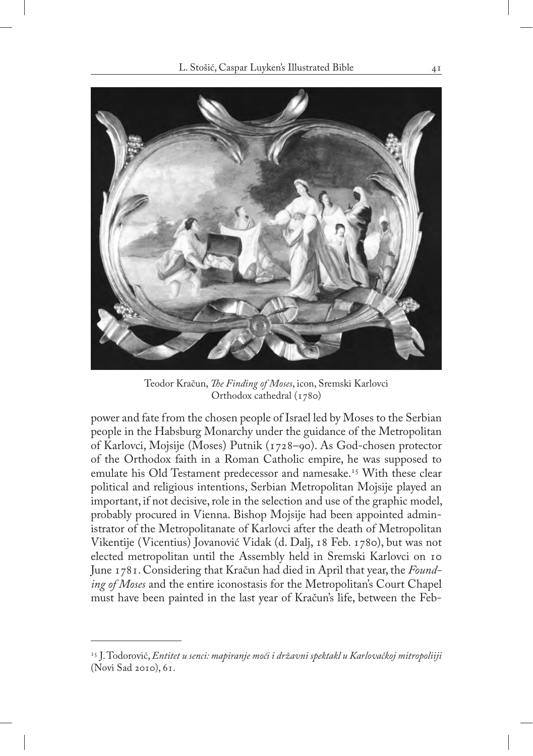

Teodor Kračun, *The Finding of Moses*, icon, Sremski Karlovci Orthodox cathedral (1780)

power and fate from the chosen people of Israel led by Moses to the Serbian people in the Habsburg Monarchy under the guidance of the Metropolitan of Karlovci, Mojsije (Moses) Putnik (1728–90). As God-chosen protector of the Orthodox faith in a Roman Catholic empire, he was supposed to emulate his Old Testament predecessor and namesake.<sup>15</sup> With these clear political and religious intentions, Serbian Metropolitan Mojsije played an important, if not decisive, role in the selection and use of the graphic model, probably procured in Vienna. Bishop Mojsije had been appointed administrator of the Metropolitanate of Karlovci after the death of Metropolitan Vikentije (Vicentius) Jovanović Vidak (d. Dalj, 18 Feb. 1780), but was not elected metropolitan until the Assembly held in Sremski Karlovci on 10 June 1781. Considering that Kračun had died in April that year, the *Founding of Moses* and the entire iconostasis for the Metropolitan's Court Chapel must have been painted in the last year of Kračun's life, between the Feb-

<sup>15</sup> J. Todorović, *Entitet u senci: mapiranje moći i državni spektakl u Karlovačkoj mitropoliiji*  (Novi Sad 2010), 61.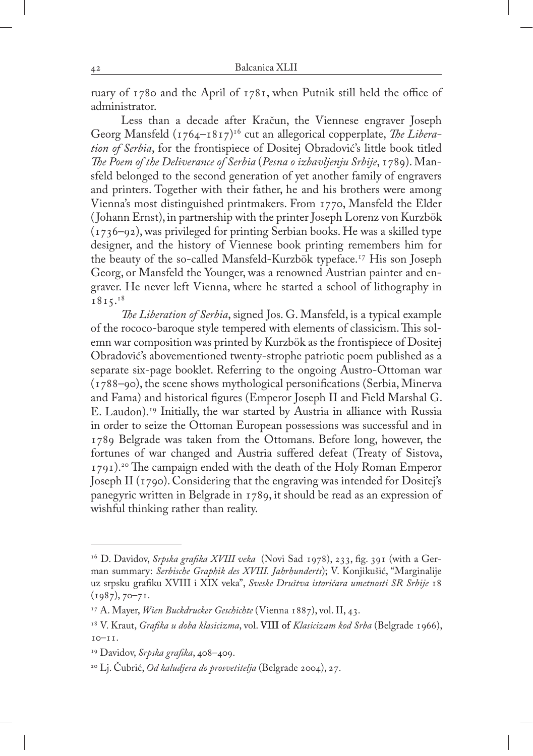ruary of 1780 and the April of 1781, when Putnik still held the office of administrator.

Less than a decade after Kračun, the Viennese engraver Joseph Georg Mansfeld  $(\frac{1764 - 1817}{16})^{16}$  cut an allegorical copperplate, *The Liberation of Serbia*, for the frontispiece of Dositej Obradović's little book titled *The Poem of the Deliverance of Serbia* (*Pesna o izbavljenju Srbije*, 1789). Mansfeld belonged to the second generation of yet another family of engravers and printers. Together with their father, he and his brothers were among Vienna's most distinguished printmakers. From 1770, Mansfeld the Elder ( Johann Ernst), in partnership with the printer Joseph Lorenz von Kurzbök (1736–92), was privileged for printing Serbian books. He was a skilled type designer, and the history of Viennese book printing remembers him for the beauty of the so-called Mansfeld-Kurzbök typeface.<sup>17</sup> His son Joseph Georg, or Mansfeld the Younger, was a renowned Austrian painter and engraver. He never left Vienna, where he started a school of lithography in 1815.18

*The Liberation of Serbia*, signed Jos. G. Mansfeld, is a typical example of the rococo-baroque style tempered with elements of classicism. This solemn war composition was printed by Kurzbök as the frontispiece of Dositej Obradović's abovementioned twenty-strophe patriotic poem published as a separate six-page booklet. Referring to the ongoing Austro-Ottoman war (1788–90), the scene shows mythological personifications (Serbia, Minerva and Fama) and historical figures (Emperor Joseph II and Field Marshal G. E. Laudon).19 Initially, the war started by Austria in alliance with Russia in order to seize the Ottoman European possessions was successful and in 1789 Belgrade was taken from the Ottomans. Before long, however, the fortunes of war changed and Austria suffered defeat (Treaty of Sistova, 1791).<sup>20</sup> The campaign ended with the death of the Holy Roman Emperor Joseph II (1790). Considering that the engraving was intended for Dositej's panegyric written in Belgrade in 1789, it should be read as an expression of wishful thinking rather than reality.

<sup>&</sup>lt;sup>16</sup> D. Davidov, *Srpska grafika XVIII veka* (Novi Sad 1978), 233, fig. 391 (with a German summary: *Serbische Graphik des XVIII. Jahrhunderts*); V. Konjikušić, "Marginalije uz srpsku grafiku XVIII i XIX veka", *Sveske Društva istoričara umetnosti SR Srbije* 18 (1987), 70–71.

<sup>17</sup> A. Mayer, *Wien Buckdrucker Geschichte* (Vienna 1887), vol. II, 43.

<sup>&</sup>lt;sup>18</sup> V. Kraut, *Grafika u doba klasicizma*, vol. VIII of *Klasicizam kod Srba* (Belgrade 1966), 10–11.

<sup>19</sup> Davidov, *Srpska grafika*, 408–409.

<sup>20</sup> Lj. Čubrić, *Od kaludjera do prosvetitelja* (Belgrade 2004), 27.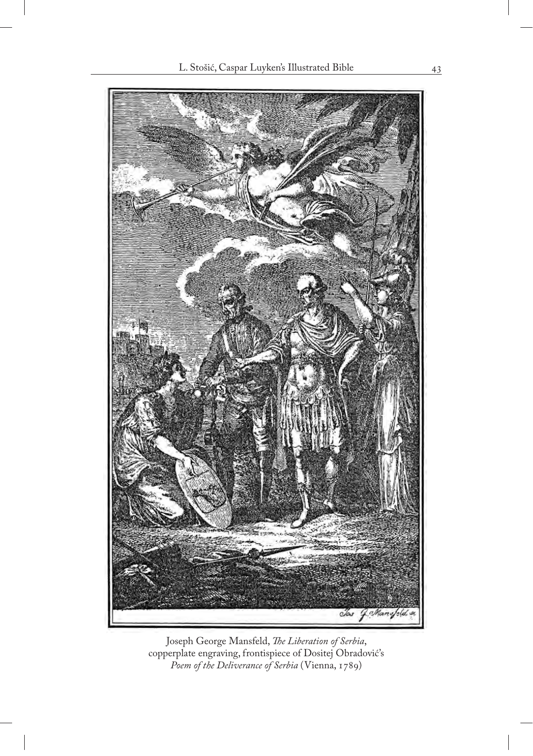

Joseph George Mansfeld, *The Liberation of Serbia*, copperplate engraving, frontispiece of Dositej Obradović's *Poem of the Deliverance of Serbia* (Vienna, 1789)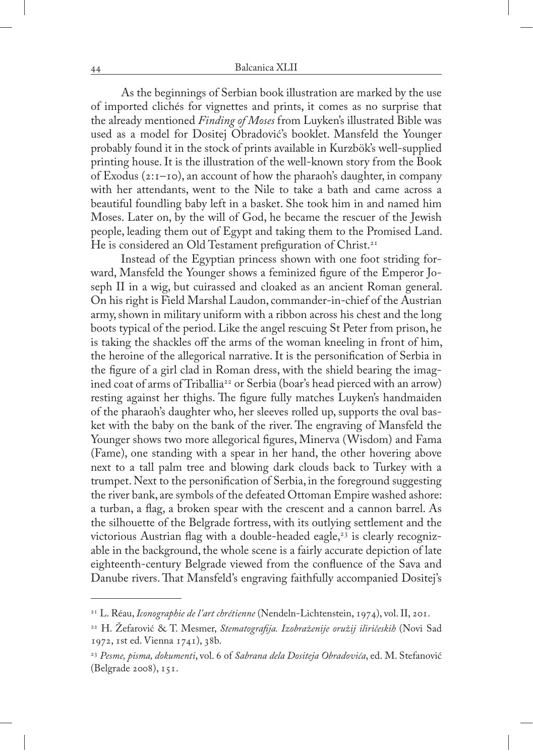As the beginnings of Serbian book illustration are marked by the use of imported clichés for vignettes and prints, it comes as no surprise that the already mentioned *Finding of Moses* from Luyken's illustrated Bible was used as a model for Dositej Obradović's booklet. Mansfeld the Younger probably found it in the stock of prints available in Kurzbök's well-supplied printing house. It is the illustration of the well-known story from the Book of Exodus (2:1–10), an account of how the pharaoh's daughter, in company with her attendants, went to the Nile to take a bath and came across a beautiful foundling baby left in a basket. She took him in and named him Moses. Later on, by the will of God, he became the rescuer of the Jewish people, leading them out of Egypt and taking them to the Promised Land. He is considered an Old Testament prefiguration of Christ.<sup>21</sup>

Instead of the Egyptian princess shown with one foot striding forward, Mansfeld the Younger shows a feminized figure of the Emperor Joseph II in a wig, but cuirassed and cloaked as an ancient Roman general. On his right is Field Marshal Laudon, commander-in-chief of the Austrian army, shown in military uniform with a ribbon across his chest and the long boots typical of the period. Like the angel rescuing St Peter from prison, he is taking the shackles off the arms of the woman kneeling in front of him, the heroine of the allegorical narrative. It is the personification of Serbia in the figure of a girl clad in Roman dress, with the shield bearing the imagined coat of arms of Triballia<sup>22</sup> or Serbia (boar's head pierced with an arrow) resting against her thighs. The figure fully matches Luyken's handmaiden of the pharaoh's daughter who, her sleeves rolled up, supports the oval basket with the baby on the bank of the river. The engraving of Mansfeld the Younger shows two more allegorical figures, Minerva (Wisdom) and Fama (Fame), one standing with a spear in her hand, the other hovering above next to a tall palm tree and blowing dark clouds back to Turkey with a trumpet. Next to the personification of Serbia, in the foreground suggesting the river bank, are symbols of the defeated Ottoman Empire washed ashore: a turban, a flag, a broken spear with the crescent and a cannon barrel. As the silhouette of the Belgrade fortress, with its outlying settlement and the victorious Austrian flag with a double-headed eagle,<sup>23</sup> is clearly recognizable in the background, the whole scene is a fairly accurate depiction of late eighteenth-century Belgrade viewed from the confluence of the Sava and Danube rivers. That Mansfeld's engraving faithfully accompanied Dositej's

<sup>21</sup> L. Réau, *Iconographie de l'art chrétienne* (Nendeln-Lichtenstein, 1974), vol. II, 201.

<sup>22</sup> H. Žefarović & T. Mesmer, *Stematografija. Izobraženije oružij iliričeskih* (Novi Sad 1972, 1st ed. Vienna 1741), 38b.

<sup>23</sup> *Pesme, pisma, dokumenti*, vol. 6 of *Sabrana dela Dositeja Obradovića*, ed. M. Stefanović (Belgrade 2008), 151.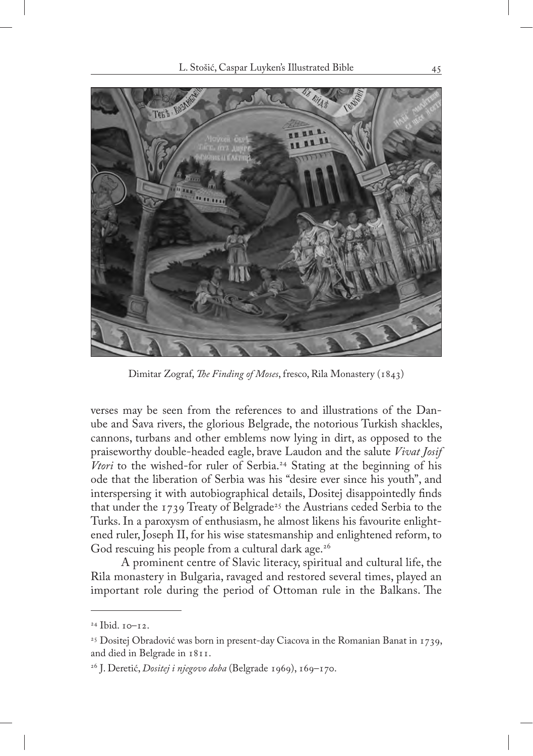

Dimitar Zograf, *The Finding of Moses*, fresco, Rila Monastery (1843)

verses may be seen from the references to and illustrations of the Danube and Sava rivers, the glorious Belgrade, the notorious Turkish shackles, cannons, turbans and other emblems now lying in dirt, as opposed to the praiseworthy double-headed eagle, brave Laudon and the salute *Vivat Josif Vtori* to the wished-for ruler of Serbia.<sup>24</sup> Stating at the beginning of his ode that the liberation of Serbia was his "desire ever since his youth", and interspersing it with autobiographical details, Dositej disappointedly finds that under the 1739 Treaty of Belgrade<sup>25</sup> the Austrians ceded Serbia to the Turks. In a paroxysm of enthusiasm, he almost likens his favourite enlightened ruler, Joseph II, for his wise statesmanship and enlightened reform, to God rescuing his people from a cultural dark age.<sup>26</sup>

A prominent centre of Slavic literacy, spiritual and cultural life, the Rila monastery in Bulgaria, ravaged and restored several times, played an important role during the period of Ottoman rule in the Balkans. The

<sup>24</sup> Ibid. 10–12.

<sup>&</sup>lt;sup>25</sup> Dositej Obradović was born in present-day Ciacova in the Romanian Banat in 1739, and died in Belgrade in 1811.

<sup>26</sup> J. Deretić, *Dositej i njegovo doba* (Belgrade 1969), 169–170.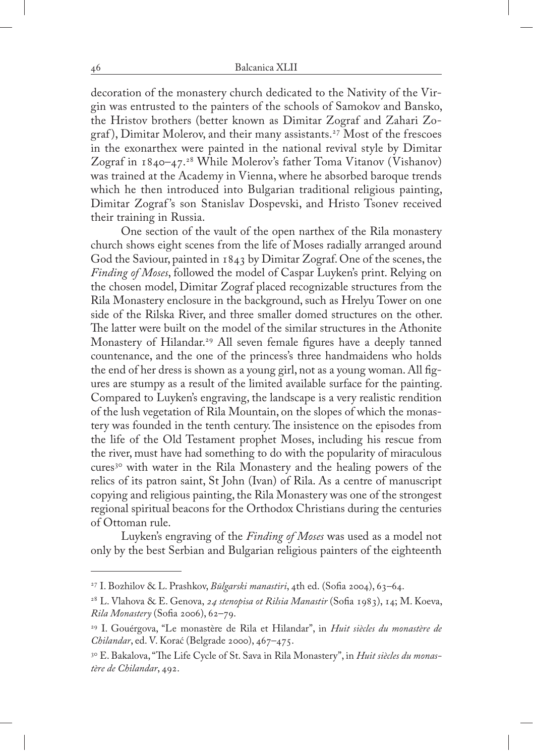decoration of the monastery church dedicated to the Nativity of the Virgin was entrusted to the painters of the schools of Samokov and Bansko, the Hristov brothers (better known as Dimitar Zograf and Zahari Zograf), Dimitar Molerov, and their many assistants.<sup>27</sup> Most of the frescoes in the exonarthex were painted in the national revival style by Dimitar Zograf in 1840–47.<sup>28</sup> While Molerov's father Toma Vitanov (Vishanov) was trained at the Academy in Vienna, where he absorbed baroque trends which he then introduced into Bulgarian traditional religious painting, Dimitar Zograf's son Stanislav Dospevski, and Hristo Tsonev received their training in Russia.

One section of the vault of the open narthex of the Rila monastery church shows eight scenes from the life of Moses radially arranged around God the Saviour, painted in 1843 by Dimitar Zograf. One of the scenes, the *Finding of Moses*, followed the model of Caspar Luyken's print. Relying on the chosen model, Dimitar Zograf placed recognizable structures from the Rila Monastery enclosure in the background, such as Hrelyu Tower on one side of the Rilska River, and three smaller domed structures on the other. The latter were built on the model of the similar structures in the Athonite Monastery of Hilandar.<sup>29</sup> All seven female figures have a deeply tanned countenance, and the one of the princess's three handmaidens who holds the end of her dress is shown as a young girl, not as a young woman. All figures are stumpy as a result of the limited available surface for the painting. Compared to Luyken's engraving, the landscape is a very realistic rendition of the lush vegetation of Rila Mountain, on the slopes of which the monastery was founded in the tenth century. The insistence on the episodes from the life of the Old Testament prophet Moses, including his rescue from the river, must have had something to do with the popularity of miraculous cures<sup>30</sup> with water in the Rila Monastery and the healing powers of the relics of its patron saint, St John (Ivan) of Rila. As a centre of manuscript copying and religious painting, the Rila Monastery was one of the strongest regional spiritual beacons for the Orthodox Christians during the centuries of Ottoman rule.

Luyken's engraving of the *Finding of Moses* was used as a model not only by the best Serbian and Bulgarian religious painters of the eighteenth

<sup>27</sup> I. Bozhilov & L. Prashkov, *Būlgarski manastiri*, 4th ed. (Sofia 2004), 63–64.

<sup>28</sup> L. Vlahova & E. Genova, *24 stenopisa ot Rilsia Manastir* (Sofia 1983), 14; M. Koeva, *Rila Monastery* (Sofia 2006), 62–79.

<sup>29</sup> I. Gouérgova, "Le monastère de Rila et Hilandar", in *Huit siècles du monastère de Chilandar*, ed. V. Korać (Belgrade 2000), 467–475.

<sup>30</sup> E. Bakalova, "The Life Cycle of St. Sava in Rila Monastery", in *Huit siècles du monastère de Chilandar*, 492.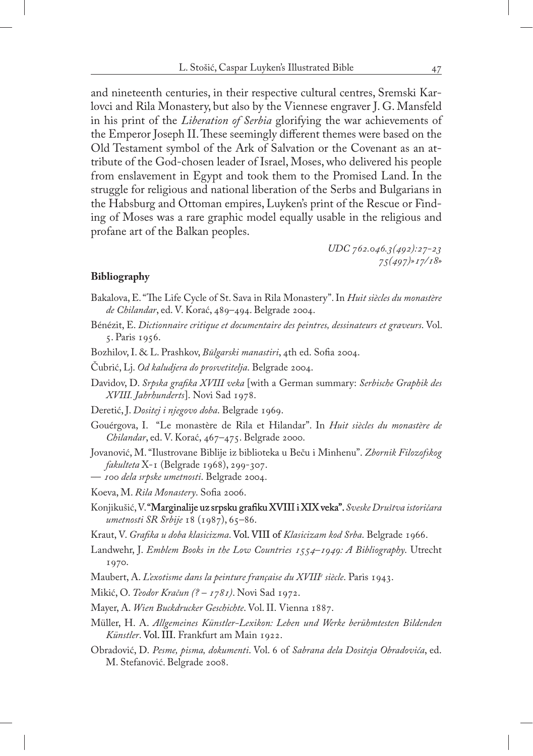and nineteenth centuries, in their respective cultural centres, Sremski Karlovci and Rila Monastery, but also by the Viennese engraver J. G. Mansfeld in his print of the *Liberation of Serbia* glorifying the war achievements of the Emperor Joseph II. These seemingly different themes were based on the Old Testament symbol of the Ark of Salvation or the Covenant as an attribute of the God-chosen leader of Israel, Moses, who delivered his people from enslavement in Egypt and took them to the Promised Land. In the struggle for religious and national liberation of the Serbs and Bulgarians in the Habsburg and Ottoman empires, Luyken's print of the Rescue or Finding of Moses was a rare graphic model equally usable in the religious and profane art of the Balkan peoples.

> *UDC 762.046.3(492):27-23 75(497)»17/18»*

#### **Bibliography**

- Bakalova, E. "The Life Cycle of St. Sava in Rila Monastery". In *Huit siècles du monastère de Chilandar*, ed. V. Korać, 489–494. Belgrade 2004.
- Bénézit, E. *Dictionnaire critique et documentaire des peintres, dessinateurs et graveurs*. Vol. 5. Paris 1956.
- Bozhilov, I. & L. Prashkov, *Būlgarski manastiri*, 4th ed. Sofia 2004.
- Čubrić, Lj. *Od kaludjera do prosvetitelja*. Belgrade 2004.
- Davidov, D. *Srpska grafika XVIII veka* [with a German summary: *Serbische Graphik des XVIII. Jahrhunderts*]. Novi Sad 1978.
- Deretić, J. *Dositej i njegovo doba*. Belgrade 1969.
- Gouérgova, I. "Le monastère de Rila et Hilandar". In *Huit siècles du monastère de Chilandar*, ed. V. Korać, 467–475. Belgrade 2000.
- Jovanović, M. "Ilustrovane Biblije iz biblioteka u Beču i Minhenu". *Zbornik Filozofskog fakulteta* X-1 (Belgrade 1968), 299-307.
- *100 dela srpske umetnosti*. Belgrade 2004.
- Koeva, M. *Rila Monastery*. Sofia 2006.
- Konjikušić, V. "Marginalije uz srpsku grafiku XVIII i XIX veka". Sveske Društva istoričara *umetnosti SR Srbije* 18 (1987), 65–86.
- Kraut, V. *Grafika u doba klasicizma*. Vol. VIII of *Klasicizam kod Srba*. Belgrade 1966.
- Landwehr, J. *Emblem Books in the Low Countries 1554–1949: A Bibliography*. Utrecht 1970.
- Maubert, A. *L'exotisme dans la peinture française du XVIIIe siècle*. Paris 1943.
- Mikić, O. *Teodor Kračun (? 1781)*. Novi Sad 1972.
- Mayer, A. *Wien Buckdrucker Geschichte*. Vol. II. Vienna 1887.
- Müller, H. A. *Allgemeines Künstler-Lexikon: Leben und Werke berühmtesten Bildenden Künstler*. Vol. III. Frankfurt am Main 1922.
- Obradović, D. *Pesme, pisma, dokumenti*. Vol. 6 of *Sabrana dela Dositeja Obradovića*, ed. M. Stefanović. Belgrade 2008.